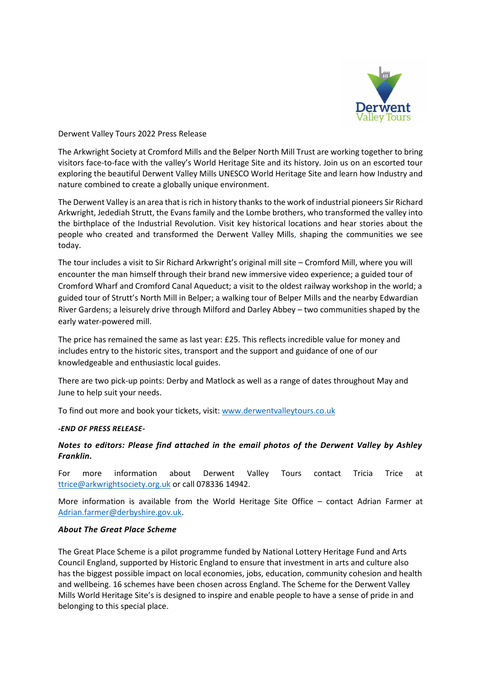

Derwent Valley Tours 2022 Press Release

The Arkwright Society at Cromford Mills and the Belper North Mill Trust are working together to bring visitors face-to-face with the valley's World Heritage Site and its history. Join us on an escorted tour exploring the beautiful Derwent Valley Mills UNESCO World Heritage Site and learn how Industry and nature combined to create a globally unique environment.

The Derwent Valley is an area that is rich in history thanks to the work of industrial pioneers Sir Richard Arkwright, Jedediah Strutt, the Evans family and the Lombe brothers, who transformed the valley into the birthplace of the Industrial Revolution. Visit key historical locations and hear stories about the people who created and transformed the Derwent Valley Mills, shaping the communities we see today.

The tour includes a visit to Sir Richard Arkwright's original mill site – Cromford Mill, where you will encounter the man himself through their brand new immersive video experience; a guided tour of Cromford Wharf and Cromford Canal Aqueduct; a visit to the oldest railway workshop in the world; a guided tour of Strutt's North Mill in Belper; a walking tour of Belper Mills and the nearby Edwardian River Gardens; a leisurely drive through Milford and Darley Abbey – two communities shaped by the early water-powered mill.

The price has remained the same as last year: £25. This reflects incredible value for money and includes entry to the historic sites, transport and the support and guidance of one of our knowledgeable and enthusiastic local guides.

There are two pick-up points: Derby and Matlock as well as a range of dates throughout May and June to help suit your needs.

To find out more and book your tickets, visit: [www.derwentvalleytours.co.uk](http://www.derwentvalleytours.co.uk/)

## *-END OF PRESS RELEASE-*

## *Notes to editors: Please find attached in the email photos of the Derwent Valley by Ashley Franklin.*

For more information about Derwent Valley Tours contact Tricia Trice at [ttrice@arkwrightsociety.org.uk](mailto:ttrice@arkwrightsociety.org.uk) or call 078336 14942.

More information is available from the World Heritage Site Office – contact Adrian Farmer at [Adrian.farmer@derbyshire.gov.uk.](mailto:Adrian.farmer@derbyshire.gov.uk)

## *About The Great Place Scheme*

The Great Place Scheme is a pilot programme funded by National Lottery Heritage Fund and Arts Council England, supported by Historic England to ensure that investment in arts and culture also has the biggest possible impact on local economies, jobs, education, community cohesion and health and wellbeing. 16 schemes have been chosen across England. The Scheme for the Derwent Valley Mills World Heritage Site's is designed to inspire and enable people to have a sense of pride in and belonging to this special place.